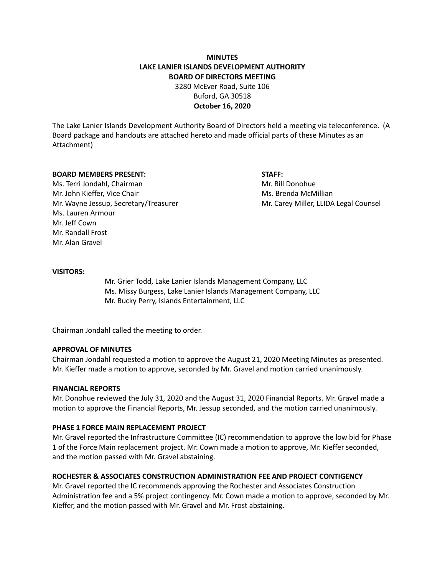# **MINUTES LAKE LANIER ISLANDS DEVELOPMENT AUTHORITY BOARD OF DIRECTORS MEETING**

3280 McEver Road, Suite 106 Buford, GA 30518 **October 16, 2020**

The Lake Lanier Islands Development Authority Board of Directors held a meeting via teleconference. (A Board package and handouts are attached hereto and made official parts of these Minutes as an Attachment)

#### **BOARD MEMBERS PRESENT: STAFF:**

Ms. Terri Jondahl, Chairman Mr. Bill Donohue Mr. John Kieffer, Vice Chair Michael McMillian Ms. Brenda McMillian Mr. Wayne Jessup, Secretary/Treasurer Mr. Carey Miller, LLIDA Legal Counsel Ms. Lauren Armour Mr. Jeff Cown Mr. Randall Frost Mr. Alan Gravel

### **VISITORS:**

Mr. Grier Todd, Lake Lanier Islands Management Company, LLC Ms. Missy Burgess, Lake Lanier Islands Management Company, LLC Mr. Bucky Perry, Islands Entertainment, LLC

Chairman Jondahl called the meeting to order.

#### **APPROVAL OF MINUTES**

Chairman Jondahl requested a motion to approve the August 21, 2020 Meeting Minutes as presented. Mr. Kieffer made a motion to approve, seconded by Mr. Gravel and motion carried unanimously.

#### **FINANCIAL REPORTS**

Mr. Donohue reviewed the July 31, 2020 and the August 31, 2020 Financial Reports. Mr. Gravel made a motion to approve the Financial Reports, Mr. Jessup seconded, and the motion carried unanimously.

#### **PHASE 1 FORCE MAIN REPLACEMENT PROJECT**

Mr. Gravel reported the Infrastructure Committee (IC) recommendation to approve the low bid for Phase 1 of the Force Main replacement project. Mr. Cown made a motion to approve, Mr. Kieffer seconded, and the motion passed with Mr. Gravel abstaining.

# **ROCHESTER & ASSOCIATES CONSTRUCTION ADMINISTRATION FEE AND PROJECT CONTIGENCY**

Mr. Gravel reported the IC recommends approving the Rochester and Associates Construction Administration fee and a 5% project contingency. Mr. Cown made a motion to approve, seconded by Mr. Kieffer, and the motion passed with Mr. Gravel and Mr. Frost abstaining.